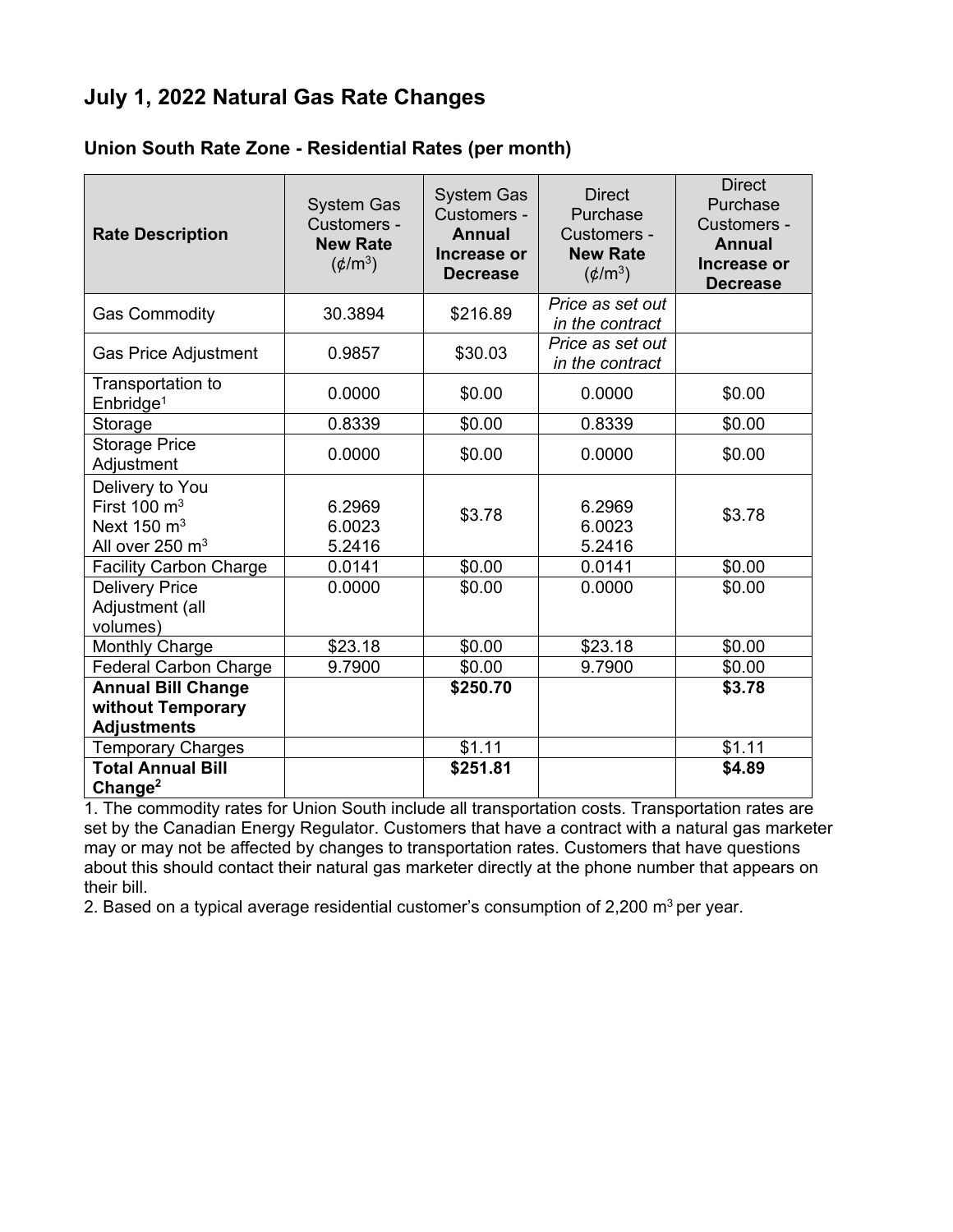## **July 1, 2022 Natural Gas Rate Changes**

## **Union South Rate Zone - Residential Rates (per month)**

| <b>Rate Description</b>                                                                             | <b>System Gas</b><br>Customers -<br><b>New Rate</b><br>$(\phi/m^3)$ | <b>System Gas</b><br>Customers -<br><b>Annual</b><br>Increase or<br><b>Decrease</b> | <b>Direct</b><br>Purchase<br>Customers -<br><b>New Rate</b><br>$(\phi/m^3)$ | <b>Direct</b><br>Purchase<br>Customers -<br>Annual<br>Increase or<br><b>Decrease</b> |
|-----------------------------------------------------------------------------------------------------|---------------------------------------------------------------------|-------------------------------------------------------------------------------------|-----------------------------------------------------------------------------|--------------------------------------------------------------------------------------|
| <b>Gas Commodity</b>                                                                                | 30.3894                                                             | \$216.89                                                                            | Price as set out<br>in the contract                                         |                                                                                      |
| <b>Gas Price Adjustment</b>                                                                         | 0.9857                                                              | \$30.03                                                                             | Price as set out<br>in the contract                                         |                                                                                      |
| Transportation to<br>Enbridge <sup>1</sup>                                                          | 0.0000                                                              | \$0.00                                                                              | 0.0000                                                                      | \$0.00                                                                               |
| Storage                                                                                             | 0.8339                                                              | \$0.00                                                                              | 0.8339                                                                      | \$0.00                                                                               |
| <b>Storage Price</b><br>Adjustment                                                                  | 0.0000                                                              | \$0.00                                                                              | 0.0000                                                                      | \$0.00                                                                               |
| Delivery to You<br>First $100 \text{ m}^3$<br>Next $150 \text{ m}^3$<br>All over 250 m <sup>3</sup> | 6.2969<br>6.0023<br>5.2416                                          | \$3.78                                                                              | 6.2969<br>6.0023<br>5.2416                                                  | \$3.78                                                                               |
| <b>Facility Carbon Charge</b>                                                                       | 0.0141                                                              | \$0.00                                                                              | 0.0141                                                                      | \$0.00                                                                               |
| <b>Delivery Price</b><br>Adjustment (all<br>volumes)                                                | 0.0000                                                              | \$0.00                                                                              | 0.0000                                                                      | \$0.00                                                                               |
| Monthly Charge                                                                                      | \$23.18                                                             | \$0.00                                                                              | \$23.18                                                                     | \$0.00                                                                               |
| <b>Federal Carbon Charge</b>                                                                        | 9.7900                                                              | \$0.00                                                                              | 9.7900                                                                      | \$0.00                                                                               |
| <b>Annual Bill Change</b>                                                                           |                                                                     | \$250.70                                                                            |                                                                             | \$3.78                                                                               |
| without Temporary                                                                                   |                                                                     |                                                                                     |                                                                             |                                                                                      |
| <b>Adjustments</b>                                                                                  |                                                                     |                                                                                     |                                                                             |                                                                                      |
| <b>Temporary Charges</b>                                                                            |                                                                     | \$1.11                                                                              |                                                                             | \$1.11                                                                               |
| <b>Total Annual Bill</b><br>Change <sup>2</sup>                                                     |                                                                     | \$251.81                                                                            |                                                                             | \$4.89                                                                               |

1. The commodity rates for Union South include all transportation costs. Transportation rates are set by the Canadian Energy Regulator. Customers that have a contract with a natural gas marketer may or may not be affected by changes to transportation rates. Customers that have questions about this should contact their natural gas marketer directly at the phone number that appears on their bill.

2. Based on a typical average residential customer's consumption of  $2,200$  m<sup>3</sup> per year.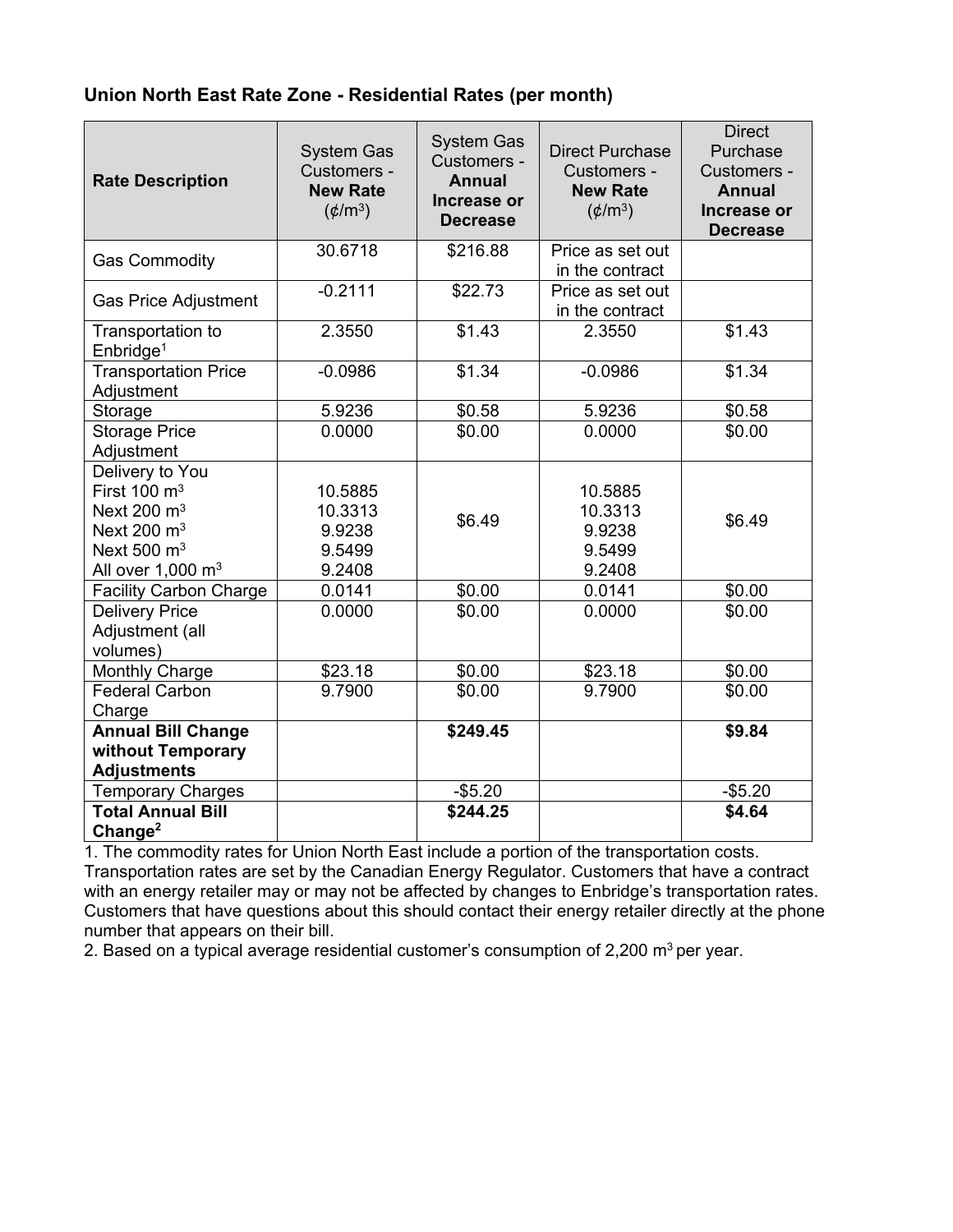## **Union North East Rate Zone - Residential Rates (per month)**

| <b>Rate Description</b>                                                                                                        | <b>System Gas</b><br>Customers -<br><b>New Rate</b><br>$(\phi/m^3)$ | <b>System Gas</b><br>Customers -<br><b>Annual</b><br>Increase or<br><b>Decrease</b> | <b>Direct Purchase</b><br>Customers -<br><b>New Rate</b><br>$(\phi/m^3)$ | <b>Direct</b><br>Purchase<br>Customers -<br><b>Annual</b><br>Increase or<br><b>Decrease</b> |
|--------------------------------------------------------------------------------------------------------------------------------|---------------------------------------------------------------------|-------------------------------------------------------------------------------------|--------------------------------------------------------------------------|---------------------------------------------------------------------------------------------|
| <b>Gas Commodity</b>                                                                                                           | 30.6718                                                             | \$216.88                                                                            | Price as set out<br>in the contract                                      |                                                                                             |
| <b>Gas Price Adjustment</b>                                                                                                    | $-0.2111$                                                           | \$22.73                                                                             | Price as set out<br>in the contract                                      |                                                                                             |
| Transportation to<br>Enbridge <sup>1</sup>                                                                                     | 2.3550                                                              | \$1.43                                                                              | 2.3550                                                                   | \$1.43                                                                                      |
| <b>Transportation Price</b><br>Adjustment                                                                                      | $-0.0986$                                                           | \$1.34                                                                              | $-0.0986$                                                                | \$1.34                                                                                      |
| Storage                                                                                                                        | 5.9236                                                              | \$0.58                                                                              | 5.9236                                                                   | \$0.58                                                                                      |
| <b>Storage Price</b><br>Adjustment                                                                                             | 0.0000                                                              | \$0.00                                                                              | 0.0000                                                                   | \$0.00                                                                                      |
| Delivery to You<br>First 100 $\mathrm{m}^3$<br>Next 200 $m3$<br>Next 200 $m3$<br>Next 500 $m3$<br>All over $1,000 \text{ m}^3$ | 10.5885<br>10.3313<br>9.9238<br>9.5499<br>9.2408                    | \$6.49                                                                              | 10.5885<br>10.3313<br>9.9238<br>9.5499<br>9.2408                         | \$6.49                                                                                      |
| <b>Facility Carbon Charge</b>                                                                                                  | 0.0141                                                              | \$0.00                                                                              | 0.0141                                                                   | \$0.00                                                                                      |
| <b>Delivery Price</b><br>Adjustment (all<br>volumes)                                                                           | 0.0000                                                              | \$0.00                                                                              | 0.0000                                                                   | \$0.00                                                                                      |
| <b>Monthly Charge</b>                                                                                                          | \$23.18                                                             | \$0.00                                                                              | \$23.18                                                                  | \$0.00                                                                                      |
| <b>Federal Carbon</b><br>Charge                                                                                                | 9.7900                                                              | \$0.00                                                                              | 9.7900                                                                   | \$0.00                                                                                      |
| <b>Annual Bill Change</b><br>without Temporary<br><b>Adjustments</b>                                                           |                                                                     | \$249.45                                                                            |                                                                          | \$9.84                                                                                      |
| <b>Temporary Charges</b>                                                                                                       |                                                                     | $-$5.20$                                                                            |                                                                          | $-$5.20$                                                                                    |
| <b>Total Annual Bill</b><br>Change <sup>2</sup>                                                                                |                                                                     | \$244.25                                                                            |                                                                          | \$4.64                                                                                      |

1. The commodity rates for Union North East include a portion of the transportation costs. Transportation rates are set by the Canadian Energy Regulator. Customers that have a contract with an energy retailer may or may not be affected by changes to Enbridge's transportation rates. Customers that have questions about this should contact their energy retailer directly at the phone number that appears on their bill.

2. Based on a typical average residential customer's consumption of 2,200  $m^3$  per year.